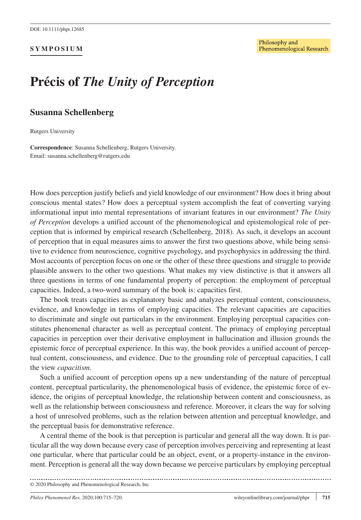#### **SYMPOSIUM**

# **Précis of** *The Unity of Perception*

## **Susanna Schellenberg**

Rutgers University

**Correspondence**: Susanna Schellenberg, Rutgers University. Email: [susanna.schellenberg@rutgers.edu](mailto:susanna.schellenberg@rutgers.edu)

How does perception justify beliefs and yield knowledge of our environment? How does it bring about conscious mental states? How does a perceptual system accomplish the feat of converting varying informational input into mental representations of invariant features in our environment? *The Unity of Perception* develops a unified account of the phenomenological and epistemological role of perception that is informed by empirical research (Schellenberg, 2018). As such, it develops an account of perception that in equal measures aims to answer the first two questions above, while being sensitive to evidence from neuroscience, cognitive psychology, and psychophysics in addressing the third. Most accounts of perception focus on one or the other of these three questions and struggle to provide plausible answers to the other two questions. What makes my view distinctive is that it answers all three questions in terms of one fundamental property of perception: the employment of perceptual capacities. Indeed, a two-word summary of the book is: capacities first.

The book treats capacities as explanatory basic and analyzes perceptual content, consciousness, evidence, and knowledge in terms of employing capacities. The relevant capacities are capacities to discriminate and single out particulars in the environment. Employing perceptual capacities constitutes phenomenal character as well as perceptual content. The primacy of employing perceptual capacities in perception over their derivative employment in hallucination and illusion grounds the epistemic force of perceptual experience. In this way, the book provides a unified account of perceptual content, consciousness, and evidence. Due to the grounding role of perceptual capacities, I call the view *capacitism*.

Such a unified account of perception opens up a new understanding of the nature of perceptual content, perceptual particularity, the phenomenological basis of evidence, the epistemic force of evidence, the origins of perceptual knowledge, the relationship between content and consciousness, as well as the relationship between consciousness and reference. Moreover, it clears the way for solving a host of unresolved problems, such as the relation between attention and perceptual knowledge, and the perceptual basis for demonstrative reference.

A central theme of the book is that perception is particular and general all the way down. It is particular all the way down because every case of perception involves perceiving and representing at least one particular, where that particular could be an object, event, or a property-instance in the environment. Perception is general all the way down because we perceive particulars by employing perceptual

### © 2020 Philosophy and Phenomenological Research, Inc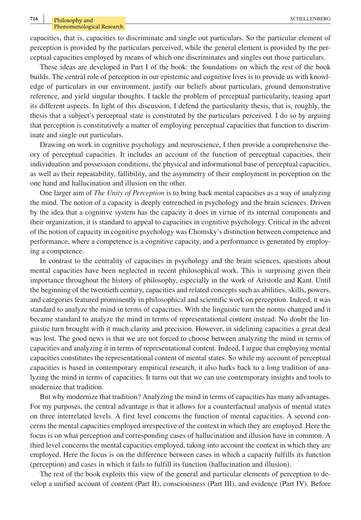capacities, that is, capacities to discriminate and single out particulars. So the particular element of perception is provided by the particulars perceived, while the general element is provided by the perceptual capacities employed by means of which one discriminates and singles out those particulars.

These ideas are developed in Part I of the book: the foundations on which the rest of the book builds. The central role of perception in our epistemic and cognitive lives is to provide us with knowledge of particulars in our environment, justify our beliefs about particulars, ground demonstrative reference, and yield singular thoughts. I tackle the problem of perceptual particularity, teasing apart its different aspects. In light of this discussion, I defend the particularity thesis, that is, roughly, the thesis that a subject's perceptual state is constituted by the particulars perceived. I do so by arguing that perception is constitutively a matter of employing perceptual capacities that function to discriminate and single out particulars.

Drawing on work in cognitive psychology and neuroscience, I then provide a comprehensive theory of perceptual capacities. It includes an account of the function of perceptual capacities, their individuation and possession conditions, the physical and informational base of perceptual capacities, as well as their repeatability, fallibility, and the asymmetry of their employment in perception on the one hand and hallucination and illusion on the other.

One larger aim of *The Unity of Perception* is to bring back mental capacities as a way of analyzing the mind. The notion of a capacity is deeply entrenched in psychology and the brain sciences. Driven by the idea that a cognitive system has the capacity it does in virtue of its internal components and their organization, it is standard to appeal to capacities in cognitive psychology. Critical in the advent of the notion of capacity in cognitive psychology was Chomsky's distinction between competence and performance, where a competence is a cognitive capacity, and a performance is generated by employing a competence.

In contrast to the centrality of capacities in psychology and the brain sciences, questions about mental capacities have been neglected in recent philosophical work. This is surprising given their importance throughout the history of philosophy, especially in the work of Aristotle and Kant. Until the beginning of the twentieth century, capacities and related concepts such as abilities, skills, powers, and categories featured prominently in philosophical and scientific work on perception. Indeed, it was standard to analyze the mind in terms of capacities. With the linguistic turn the norms changed and it became standard to analyze the mind in terms of representational content instead. No doubt the linguistic turn brought with it much clarity and precision. However, in sidelining capacities a great deal was lost. The good news is that we are not forced to choose between analyzing the mind in terms of capacities and analyzing it in terms of representational content. Indeed, I argue that employing mental capacities constitutes the representational content of mental states. So while my account of perceptual capacities is based in contemporary empirical research, it also harks back to a long tradition of analyzing the mind in terms of capacities. It turns out that we can use contemporary insights and tools to modernize that tradition.

But why modernize that tradition? Analyzing the mind in terms of capacities has many advantages. For my purposes, the central advantage is that it allows for a counterfactual analysis of mental states on three interrelated levels. A first level concerns the function of mental capacities. A second concerns the mental capacities employed irrespective of the context in which they are employed. Here the focus is on what perception and corresponding cases of hallucination and illusion have in common. A third level concerns the mental capacities employed, taking into account the context in which they are employed. Here the focus is on the difference between cases in which a capacity fulfills its function (perception) and cases in which it fails to fulfill its function (hallucination and illusion).

The rest of the book exploits this view of the general and particular elements of perception to develop a unified account of content (Part II), consciousness (Part III), and evidence (Part IV). Before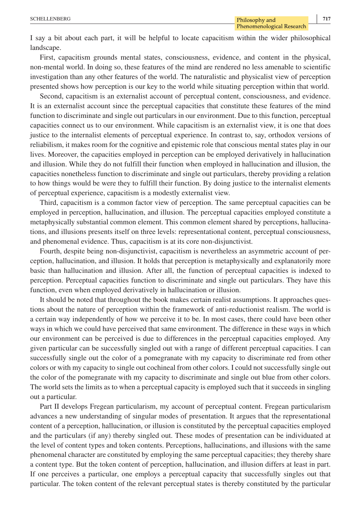First, capacitism grounds mental states, consciousness, evidence, and content in the physical, non-mental world. In doing so, these features of the mind are rendered no less amenable to scientific investigation than any other features of the world. The naturalistic and physicalist view of perception presented shows how perception is our key to the world while situating perception within that world.

Second, capacitism is an externalist account of perceptual content, consciousness, and evidence. It is an externalist account since the perceptual capacities that constitute these features of the mind function to discriminate and single out particulars in our environment. Due to this function, perceptual capacities connect us to our environment. While capacitism is an externalist view, it is one that does justice to the internalist elements of perceptual experience. In contrast to, say, orthodox versions of reliabilism, it makes room for the cognitive and epistemic role that conscious mental states play in our lives. Moreover, the capacities employed in perception can be employed derivatively in hallucination and illusion. While they do not fulfill their function when employed in hallucination and illusion, the capacities nonetheless function to discriminate and single out particulars, thereby providing a relation to how things would be were they to fulfill their function. By doing justice to the internalist elements of perceptual experience, capacitism is a modestly externalist view.

Third, capacitism is a common factor view of perception. The same perceptual capacities can be employed in perception, hallucination, and illusion. The perceptual capacities employed constitute a metaphysically substantial common element. This common element shared by perceptions, hallucinations, and illusions presents itself on three levels: representational content, perceptual consciousness, and phenomenal evidence. Thus, capacitism is at its core non-disjunctivist.

Fourth, despite being non-disjunctivist, capacitism is nevertheless an asymmetric account of perception, hallucination, and illusion. It holds that perception is metaphysically and explanatorily more basic than hallucination and illusion. After all, the function of perceptual capacities is indexed to perception. Perceptual capacities function to discriminate and single out particulars. They have this function, even when employed derivatively in hallucination or illusion.

It should be noted that throughout the book makes certain realist assumptions. It approaches questions about the nature of perception within the framework of anti-reductionist realism. The world is a certain way independently of how we perceive it to be. In most cases, there could have been other ways in which we could have perceived that same environment. The difference in these ways in which our environment can be perceived is due to differences in the perceptual capacities employed. Any given particular can be successfully singled out with a range of different perceptual capacities. I can successfully single out the color of a pomegranate with my capacity to discriminate red from other colors or with my capacity to single out cochineal from other colors. I could not successfully single out the color of the pomegranate with my capacity to discriminate and single out blue from other colors. The world sets the limits as to when a perceptual capacity is employed such that it succeeds in singling out a particular.

Part II develops Fregean particularism, my account of perceptual content. Fregean particularism advances a new understanding of singular modes of presentation. It argues that the representational content of a perception, hallucination, or illusion is constituted by the perceptual capacities employed and the particulars (if any) thereby singled out. These modes of presentation can be individuated at the level of content types and token contents. Perceptions, hallucinations, and illusions with the same phenomenal character are constituted by employing the same perceptual capacities; they thereby share a content type. But the token content of perception, hallucination, and illusion differs at least in part. If one perceives a particular, one employs a perceptual capacity that successfully singles out that particular. The token content of the relevant perceptual states is thereby constituted by the particular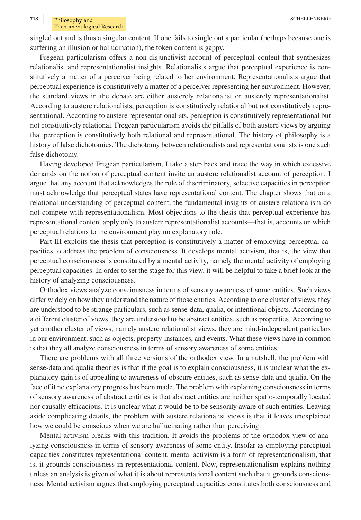singled out and is thus a singular content. If one fails to single out a particular (perhaps because one is suffering an illusion or hallucination), the token content is gappy.

Fregean particularism offers a non-disjunctivist account of perceptual content that synthesizes relationalist and representationalist insights. Relationalists argue that perceptual experience is constitutively a matter of a perceiver being related to her environment. Representationalists argue that perceptual experience is constitutively a matter of a perceiver representing her environment. However, the standard views in the debate are either austerely relationalist or austerely representationalist. According to austere relationalists, perception is constitutively relational but not constitutively representational. According to austere representationalists, perception is constitutively representational but not constitutively relational. Fregean particularism avoids the pitfalls of both austere views by arguing that perception is constitutively both relational and representational. The history of philosophy is a history of false dichotomies. The dichotomy between relationalists and representationalists is one such false dichotomy.

Having developed Fregean particularism, I take a step back and trace the way in which excessive demands on the notion of perceptual content invite an austere relationalist account of perception. I argue that any account that acknowledges the role of discriminatory, selective capacities in perception must acknowledge that perceptual states have representational content. The chapter shows that on a relational understanding of perceptual content, the fundamental insights of austere relationalism do not compete with representationalism. Most objections to the thesis that perceptual experience has representational content apply only to austere representationalist accounts—that is, accounts on which perceptual relations to the environment play no explanatory role.

Part III exploits the thesis that perception is constitutively a matter of employing perceptual capacities to address the problem of consciousness. It develops mental activism, that is, the view that perceptual consciousness is constituted by a mental activity, namely the mental activity of employing perceptual capacities. In order to set the stage for this view, it will be helpful to take a brief look at the history of analyzing consciousness.

Orthodox views analyze consciousness in terms of sensory awareness of some entities. Such views differ widely on how they understand the nature of those entities. According to one cluster of views, they are understood to be strange particulars, such as sense-data, qualia, or intentional objects. According to a different cluster of views, they are understood to be abstract entities, such as properties. According to yet another cluster of views, namely austere relationalist views, they are mind-independent particulars in our environment, such as objects, property-instances, and events. What these views have in common is that they all analyze consciousness in terms of sensory awareness of some entities.

There are problems with all three versions of the orthodox view. In a nutshell, the problem with sense-data and qualia theories is that if the goal is to explain consciousness, it is unclear what the explanatory gain is of appealing to awareness of obscure entities, such as sense-data and qualia. On the face of it no explanatory progress has been made. The problem with explaining consciousness in terms of sensory awareness of abstract entities is that abstract entities are neither spatio-temporally located nor causally efficacious. It is unclear what it would be to be sensorily aware of such entities. Leaving aside complicating details, the problem with austere relationalist views is that it leaves unexplained how we could be conscious when we are hallucinating rather than perceiving.

Mental activism breaks with this tradition. It avoids the problems of the orthodox view of analyzing consciousness in terms of sensory awareness of some entity. Insofar as employing perceptual capacities constitutes representational content, mental activism is a form of representationalism, that is, it grounds consciousness in representational content. Now, representationalism explains nothing unless an analysis is given of what it is about representational content such that it grounds consciousness. Mental activism argues that employing perceptual capacities constitutes both consciousness and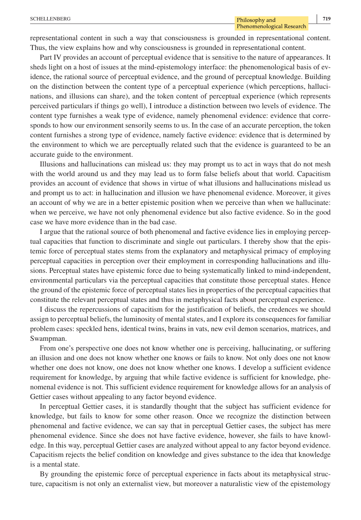representational content in such a way that consciousness is grounded in representational content. Thus, the view explains how and why consciousness is grounded in representational content.

Part IV provides an account of perceptual evidence that is sensitive to the nature of appearances. It sheds light on a host of issues at the mind-epistemology interface: the phenomenological basis of evidence, the rational source of perceptual evidence, and the ground of perceptual knowledge. Building on the distinction between the content type of a perceptual experience (which perceptions, hallucinations, and illusions can share), and the token content of perceptual experience (which represents perceived particulars if things go well), I introduce a distinction between two levels of evidence. The content type furnishes a weak type of evidence, namely phenomenal evidence: evidence that corresponds to how our environment sensorily seems to us. In the case of an accurate perception, the token content furnishes a strong type of evidence, namely factive evidence: evidence that is determined by the environment to which we are perceptually related such that the evidence is guaranteed to be an accurate guide to the environment.

Illusions and hallucinations can mislead us: they may prompt us to act in ways that do not mesh with the world around us and they may lead us to form false beliefs about that world. Capacitism provides an account of evidence that shows in virtue of what illusions and hallucinations mislead us and prompt us to act: in hallucination and illusion we have phenomenal evidence. Moreover, it gives an account of why we are in a better epistemic position when we perceive than when we hallucinate: when we perceive, we have not only phenomenal evidence but also factive evidence. So in the good case we have more evidence than in the bad case.

I argue that the rational source of both phenomenal and factive evidence lies in employing perceptual capacities that function to discriminate and single out particulars. I thereby show that the epistemic force of perceptual states stems from the explanatory and metaphysical primacy of employing perceptual capacities in perception over their employment in corresponding hallucinations and illusions. Perceptual states have epistemic force due to being systematically linked to mind-independent, environmental particulars via the perceptual capacities that constitute those perceptual states. Hence the ground of the epistemic force of perceptual states lies in properties of the perceptual capacities that constitute the relevant perceptual states and thus in metaphysical facts about perceptual experience.

I discuss the repercussions of capacitism for the justification of beliefs, the credences we should assign to perceptual beliefs, the luminosity of mental states, and I explore its consequences for familiar problem cases: speckled hens, identical twins, brains in vats, new evil demon scenarios, matrices, and Swampman.

From one's perspective one does not know whether one is perceiving, hallucinating, or suffering an illusion and one does not know whether one knows or fails to know. Not only does one not know whether one does not know, one does not know whether one knows. I develop a sufficient evidence requirement for knowledge, by arguing that while factive evidence is sufficient for knowledge, phenomenal evidence is not. This sufficient evidence requirement for knowledge allows for an analysis of Gettier cases without appealing to any factor beyond evidence.

In perceptual Gettier cases, it is standardly thought that the subject has sufficient evidence for knowledge, but fails to know for some other reason. Once we recognize the distinction between phenomenal and factive evidence, we can say that in perceptual Gettier cases, the subject has mere phenomenal evidence. Since she does not have factive evidence, however, she fails to have knowledge. In this way, perceptual Gettier cases are analyzed without appeal to any factor beyond evidence. Capacitism rejects the belief condition on knowledge and gives substance to the idea that knowledge is a mental state.

By grounding the epistemic force of perceptual experience in facts about its metaphysical structure, capacitism is not only an externalist view, but moreover a naturalistic view of the epistemology